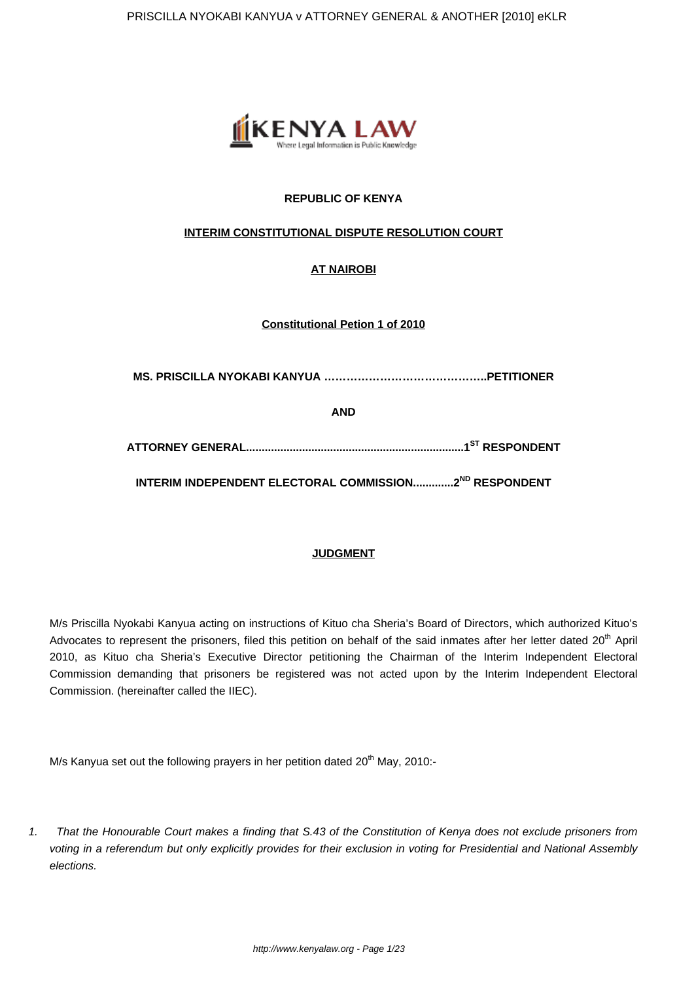

# **REPUBLIC OF KENYA**

# **INTERIM CONSTITUTIONAL DISPUTE RESOLUTION COURT**

# **AT NAIROBI**

**Constitutional Petion 1 of 2010**

**MS. PRISCILLA NYOKABI KANYUA ……………………………………..PETITIONER**

**AND**

**ATTORNEY GENERAL......................................................................1ST RESPONDENT**

**INTERIM INDEPENDENT ELECTORAL COMMISSION.............2ND RESPONDENT**

# **JUDGMENT**

M/s Priscilla Nyokabi Kanyua acting on instructions of Kituo cha Sheria's Board of Directors, which authorized Kituo's Advocates to represent the prisoners, filed this petition on behalf of the said inmates after her letter dated 20<sup>th</sup> April 2010, as Kituo cha Sheria's Executive Director petitioning the Chairman of the Interim Independent Electoral Commission demanding that prisoners be registered was not acted upon by the Interim Independent Electoral Commission. (hereinafter called the IIEC).

M/s Kanyua set out the following prayers in her petition dated 20<sup>th</sup> May, 2010:-

1. That the Honourable Court makes a finding that S.43 of the Constitution of Kenya does not exclude prisoners from voting in a referendum but only explicitly provides for their exclusion in voting for Presidential and National Assembly elections.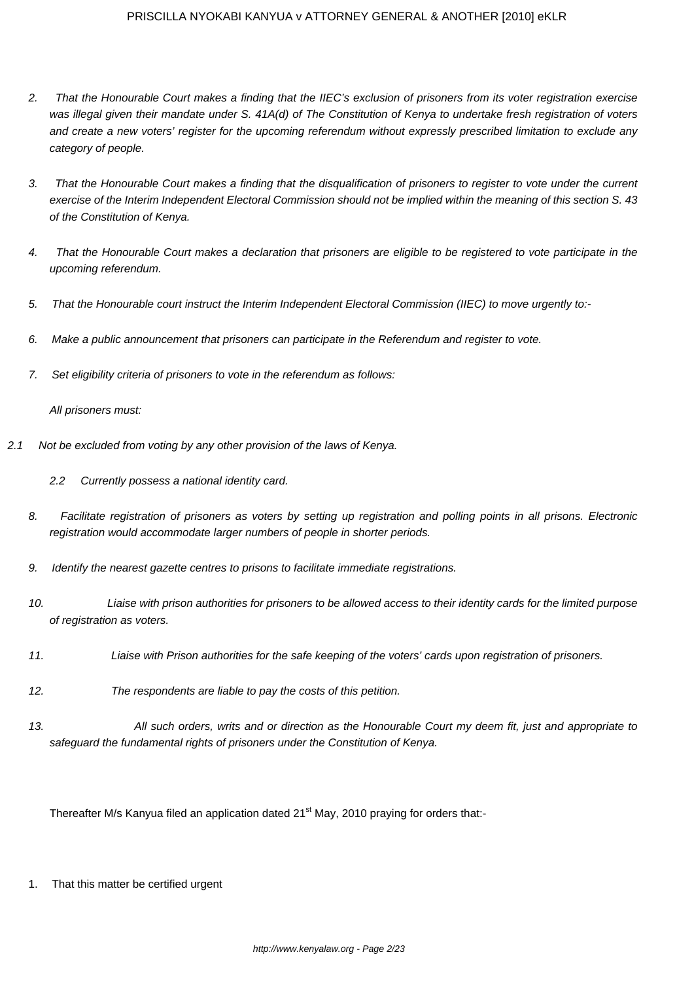- 2. That the Honourable Court makes a finding that the IIEC's exclusion of prisoners from its voter registration exercise was illegal given their mandate under S. 41A(d) of The Constitution of Kenya to undertake fresh registration of voters and create a new voters' register for the upcoming referendum without expressly prescribed limitation to exclude any category of people.
- 3. That the Honourable Court makes a finding that the disqualification of prisoners to register to vote under the current exercise of the Interim Independent Electoral Commission should not be implied within the meaning of this section S. 43 of the Constitution of Kenya.
- 4. That the Honourable Court makes a declaration that prisoners are eligible to be registered to vote participate in the upcoming referendum.
- 5. That the Honourable court instruct the Interim Independent Electoral Commission (IIEC) to move urgently to:-
- 6. Make a public announcement that prisoners can participate in the Referendum and register to vote.
- 7. Set eligibility criteria of prisoners to vote in the referendum as follows:

All prisoners must:

- 2.1 Not be excluded from voting by any other provision of the laws of Kenya.
	- 2.2 Currently possess a national identity card.
	- 8. Facilitate registration of prisoners as voters by setting up registration and polling points in all prisons. Electronic registration would accommodate larger numbers of people in shorter periods.
	- 9. Identify the nearest gazette centres to prisons to facilitate immediate registrations.
	- 10. Liaise with prison authorities for prisoners to be allowed access to their identity cards for the limited purpose of registration as voters.
	- 11. Liaise with Prison authorities for the safe keeping of the voters' cards upon registration of prisoners.
	- 12. The respondents are liable to pay the costs of this petition.
	- 13. All such orders, writs and or direction as the Honourable Court my deem fit, just and appropriate to safeguard the fundamental rights of prisoners under the Constitution of Kenya.

Thereafter M/s Kanyua filed an application dated 21<sup>st</sup> May, 2010 praying for orders that:-

1. That this matter be certified urgent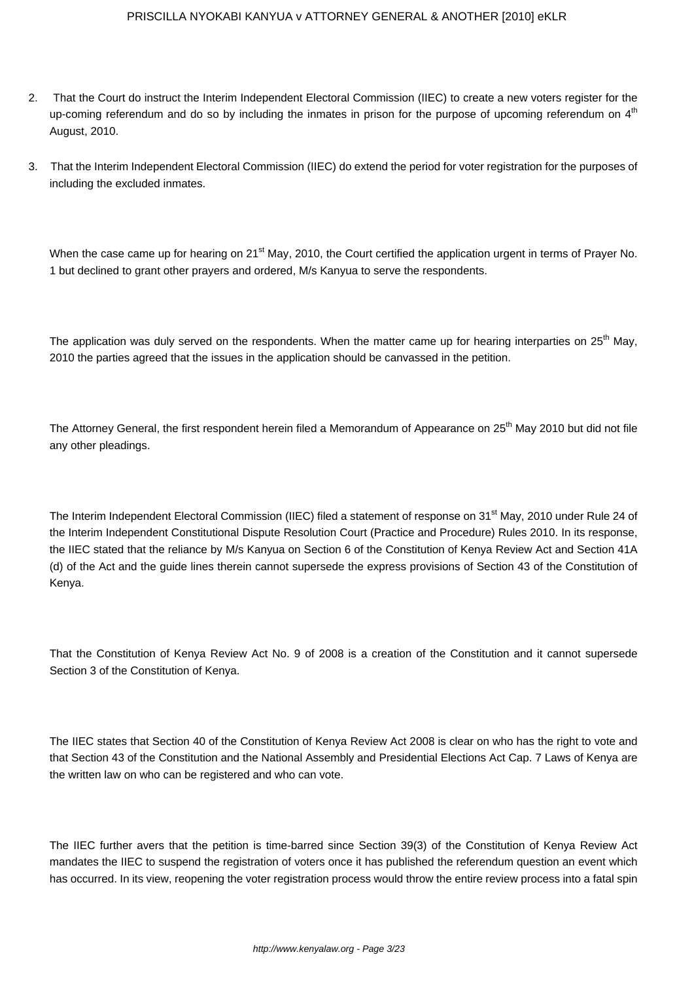- 2. That the Court do instruct the Interim Independent Electoral Commission (IIEC) to create a new voters register for the up-coming referendum and do so by including the inmates in prison for the purpose of upcoming referendum on  $4<sup>th</sup>$ August, 2010.
- 3. That the Interim Independent Electoral Commission (IIEC) do extend the period for voter registration for the purposes of including the excluded inmates.

When the case came up for hearing on 21<sup>st</sup> May, 2010, the Court certified the application urgent in terms of Prayer No. 1 but declined to grant other prayers and ordered, M/s Kanyua to serve the respondents.

The application was duly served on the respondents. When the matter came up for hearing interparties on 25<sup>th</sup> May, 2010 the parties agreed that the issues in the application should be canvassed in the petition.

The Attorney General, the first respondent herein filed a Memorandum of Appearance on 25<sup>th</sup> May 2010 but did not file any other pleadings.

The Interim Independent Electoral Commission (IIEC) filed a statement of response on 31<sup>st</sup> May, 2010 under Rule 24 of the Interim Independent Constitutional Dispute Resolution Court (Practice and Procedure) Rules 2010. In its response, the IIEC stated that the reliance by M/s Kanyua on Section 6 of the Constitution of Kenya Review Act and Section 41A (d) of the Act and the guide lines therein cannot supersede the express provisions of Section 43 of the Constitution of Kenya.

That the Constitution of Kenya Review Act No. 9 of 2008 is a creation of the Constitution and it cannot supersede Section 3 of the Constitution of Kenya.

The IIEC states that Section 40 of the Constitution of Kenya Review Act 2008 is clear on who has the right to vote and that Section 43 of the Constitution and the National Assembly and Presidential Elections Act Cap. 7 Laws of Kenya are the written law on who can be registered and who can vote.

The IIEC further avers that the petition is time-barred since Section 39(3) of the Constitution of Kenya Review Act mandates the IIEC to suspend the registration of voters once it has published the referendum question an event which has occurred. In its view, reopening the voter registration process would throw the entire review process into a fatal spin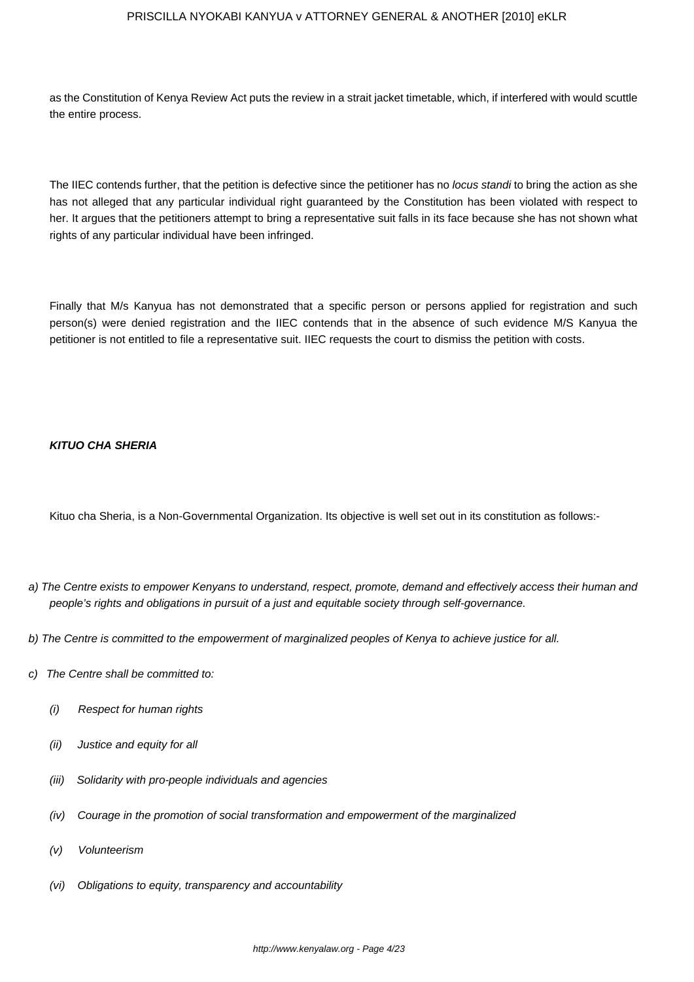as the Constitution of Kenya Review Act puts the review in a strait jacket timetable, which, if interfered with would scuttle the entire process.

The IIEC contends further, that the petition is defective since the petitioner has no locus standi to bring the action as she has not alleged that any particular individual right guaranteed by the Constitution has been violated with respect to her. It argues that the petitioners attempt to bring a representative suit falls in its face because she has not shown what rights of any particular individual have been infringed.

Finally that M/s Kanyua has not demonstrated that a specific person or persons applied for registration and such person(s) were denied registration and the IIEC contends that in the absence of such evidence M/S Kanyua the petitioner is not entitled to file a representative suit. IIEC requests the court to dismiss the petition with costs.

## **KITUO CHA SHERIA**

Kituo cha Sheria, is a Non-Governmental Organization. Its objective is well set out in its constitution as follows:-

- a) The Centre exists to empower Kenyans to understand, respect, promote, demand and effectively access their human and people's rights and obligations in pursuit of a just and equitable society through self-governance.
- b) The Centre is committed to the empowerment of marginalized peoples of Kenya to achieve justice for all.
- c) The Centre shall be committed to:
	- (i) Respect for human rights
	- (ii) Justice and equity for all
	- (iii) Solidarity with pro-people individuals and agencies
	- (iv) Courage in the promotion of social transformation and empowerment of the marginalized
	- (v) Volunteerism
	- (vi) Obligations to equity, transparency and accountability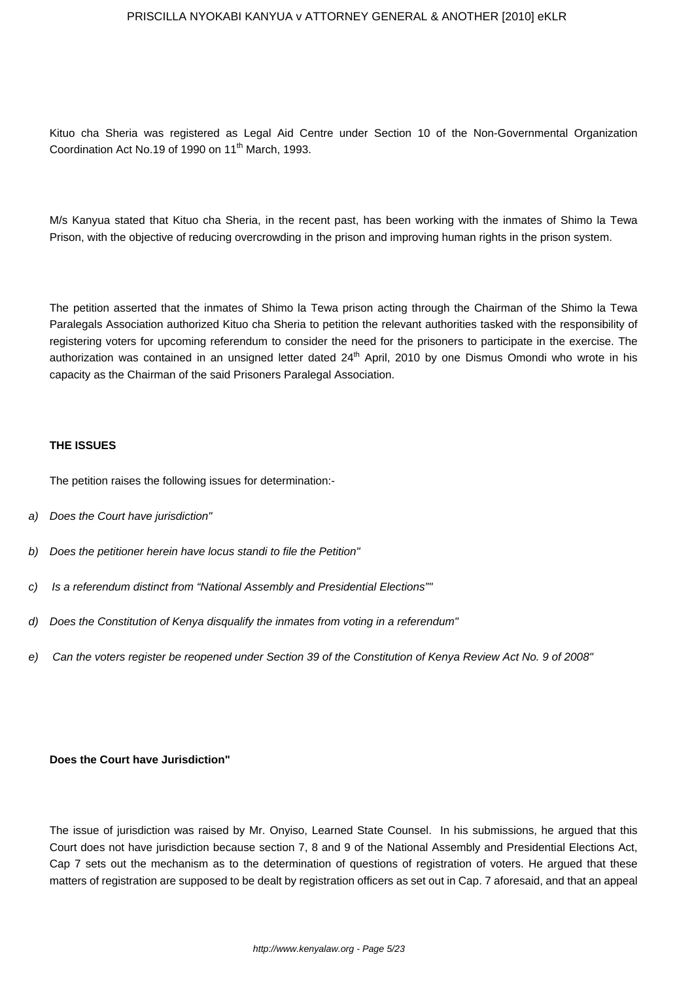Kituo cha Sheria was registered as Legal Aid Centre under Section 10 of the Non-Governmental Organization Coordination Act No.19 of 1990 on 11<sup>th</sup> March, 1993.

M/s Kanyua stated that Kituo cha Sheria, in the recent past, has been working with the inmates of Shimo la Tewa Prison, with the objective of reducing overcrowding in the prison and improving human rights in the prison system.

The petition asserted that the inmates of Shimo la Tewa prison acting through the Chairman of the Shimo la Tewa Paralegals Association authorized Kituo cha Sheria to petition the relevant authorities tasked with the responsibility of registering voters for upcoming referendum to consider the need for the prisoners to participate in the exercise. The authorization was contained in an unsigned letter dated 24<sup>th</sup> April, 2010 by one Dismus Omondi who wrote in his capacity as the Chairman of the said Prisoners Paralegal Association.

#### **THE ISSUES**

The petition raises the following issues for determination:-

- a) Does the Court have jurisdiction"
- b) Does the petitioner herein have locus standi to file the Petition"
- c) Is a referendum distinct from "National Assembly and Presidential Elections""
- d) Does the Constitution of Kenya disqualify the inmates from voting in a referendum"
- e) Can the voters register be reopened under Section 39 of the Constitution of Kenya Review Act No. 9 of 2008"

## **Does the Court have Jurisdiction"**

The issue of jurisdiction was raised by Mr. Onyiso, Learned State Counsel. In his submissions, he argued that this Court does not have jurisdiction because section 7, 8 and 9 of the National Assembly and Presidential Elections Act, Cap 7 sets out the mechanism as to the determination of questions of registration of voters. He argued that these matters of registration are supposed to be dealt by registration officers as set out in Cap. 7 aforesaid, and that an appeal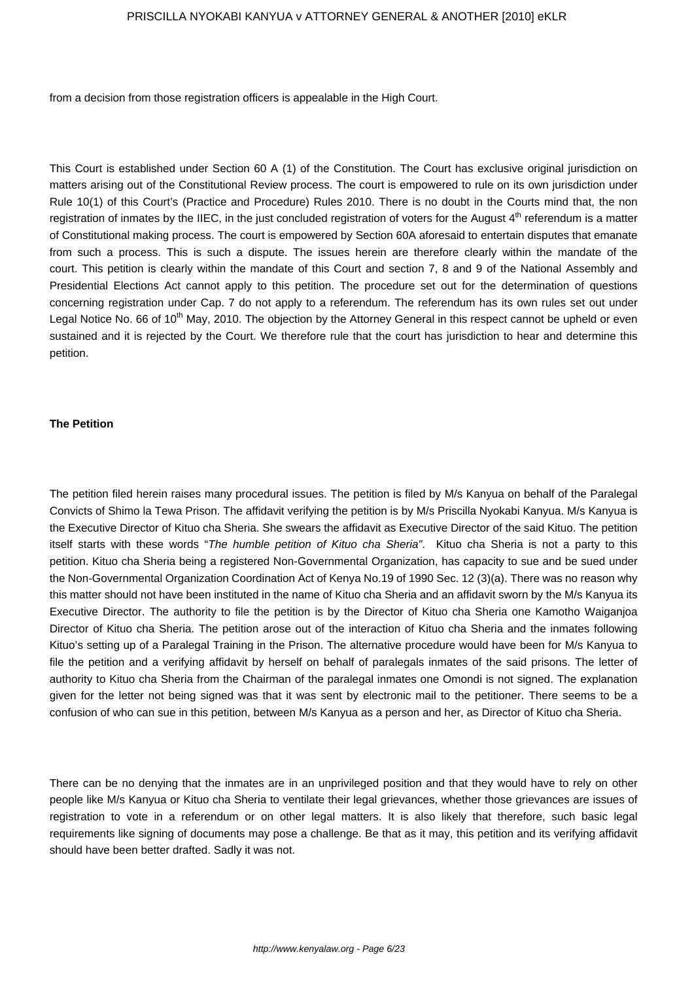from a decision from those registration officers is appealable in the High Court.

This Court is established under Section 60 A (1) of the Constitution. The Court has exclusive original jurisdiction on matters arising out of the Constitutional Review process. The court is empowered to rule on its own jurisdiction under Rule 10(1) of this Court's (Practice and Procedure) Rules 2010. There is no doubt in the Courts mind that, the non registration of inmates by the IIEC, in the just concluded registration of voters for the August  $4<sup>th</sup>$  referendum is a matter of Constitutional making process. The court is empowered by Section 60A aforesaid to entertain disputes that emanate from such a process. This is such a dispute. The issues herein are therefore clearly within the mandate of the court. This petition is clearly within the mandate of this Court and section 7, 8 and 9 of the National Assembly and Presidential Elections Act cannot apply to this petition. The procedure set out for the determination of questions concerning registration under Cap. 7 do not apply to a referendum. The referendum has its own rules set out under Legal Notice No. 66 of 10<sup>th</sup> May, 2010. The objection by the Attorney General in this respect cannot be upheld or even sustained and it is rejected by the Court. We therefore rule that the court has jurisdiction to hear and determine this petition.

#### **The Petition**

The petition filed herein raises many procedural issues. The petition is filed by M/s Kanyua on behalf of the Paralegal Convicts of Shimo la Tewa Prison. The affidavit verifying the petition is by M/s Priscilla Nyokabi Kanyua. M/s Kanyua is the Executive Director of Kituo cha Sheria. She swears the affidavit as Executive Director of the said Kituo. The petition itself starts with these words "The humble petition of Kituo cha Sheria". Kituo cha Sheria is not a party to this petition. Kituo cha Sheria being a registered Non-Governmental Organization, has capacity to sue and be sued under the Non-Governmental Organization Coordination Act of Kenya No.19 of 1990 Sec. 12 (3)(a). There was no reason why this matter should not have been instituted in the name of Kituo cha Sheria and an affidavit sworn by the M/s Kanyua its Executive Director. The authority to file the petition is by the Director of Kituo cha Sheria one Kamotho Waiganjoa Director of Kituo cha Sheria. The petition arose out of the interaction of Kituo cha Sheria and the inmates following Kituo's setting up of a Paralegal Training in the Prison. The alternative procedure would have been for M/s Kanyua to file the petition and a verifying affidavit by herself on behalf of paralegals inmates of the said prisons. The letter of authority to Kituo cha Sheria from the Chairman of the paralegal inmates one Omondi is not signed. The explanation given for the letter not being signed was that it was sent by electronic mail to the petitioner. There seems to be a confusion of who can sue in this petition, between M/s Kanyua as a person and her, as Director of Kituo cha Sheria.

There can be no denying that the inmates are in an unprivileged position and that they would have to rely on other people like M/s Kanyua or Kituo cha Sheria to ventilate their legal grievances, whether those grievances are issues of registration to vote in a referendum or on other legal matters. It is also likely that therefore, such basic legal requirements like signing of documents may pose a challenge. Be that as it may, this petition and its verifying affidavit should have been better drafted. Sadly it was not.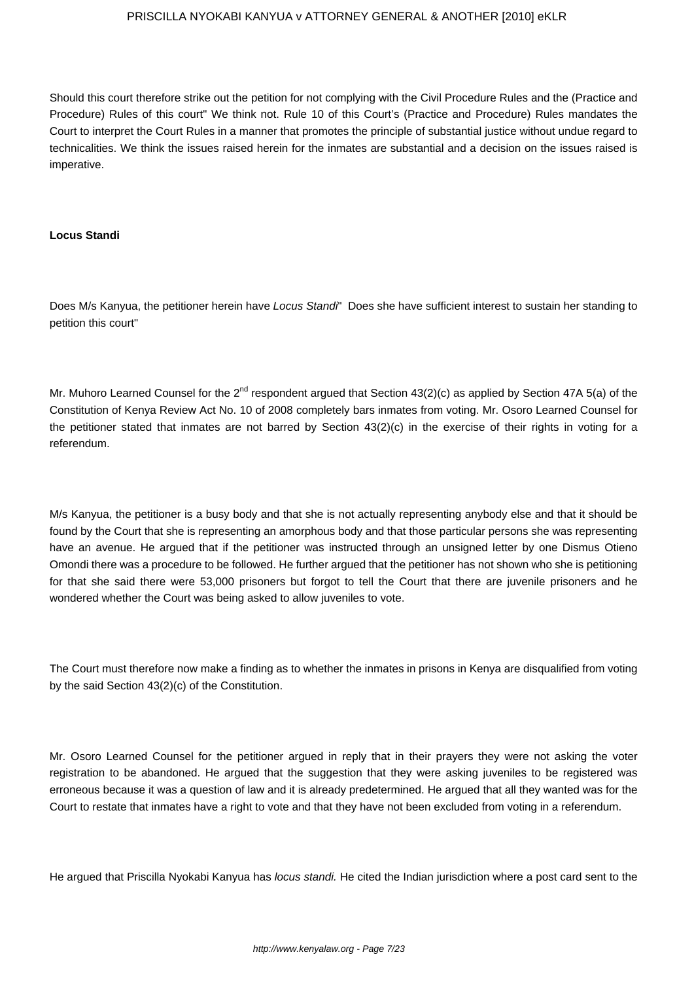Should this court therefore strike out the petition for not complying with the Civil Procedure Rules and the (Practice and Procedure) Rules of this court" We think not. Rule 10 of this Court's (Practice and Procedure) Rules mandates the Court to interpret the Court Rules in a manner that promotes the principle of substantial justice without undue regard to technicalities. We think the issues raised herein for the inmates are substantial and a decision on the issues raised is imperative.

#### **Locus Standi**

Does M/s Kanyua, the petitioner herein have Locus Standi" Does she have sufficient interest to sustain her standing to petition this court"

Mr. Muhoro Learned Counsel for the 2<sup>nd</sup> respondent argued that Section 43(2)(c) as applied by Section 47A 5(a) of the Constitution of Kenya Review Act No. 10 of 2008 completely bars inmates from voting. Mr. Osoro Learned Counsel for the petitioner stated that inmates are not barred by Section 43(2)(c) in the exercise of their rights in voting for a referendum.

M/s Kanyua, the petitioner is a busy body and that she is not actually representing anybody else and that it should be found by the Court that she is representing an amorphous body and that those particular persons she was representing have an avenue. He argued that if the petitioner was instructed through an unsigned letter by one Dismus Otieno Omondi there was a procedure to be followed. He further argued that the petitioner has not shown who she is petitioning for that she said there were 53,000 prisoners but forgot to tell the Court that there are juvenile prisoners and he wondered whether the Court was being asked to allow juveniles to vote.

The Court must therefore now make a finding as to whether the inmates in prisons in Kenya are disqualified from voting by the said Section 43(2)(c) of the Constitution.

Mr. Osoro Learned Counsel for the petitioner argued in reply that in their prayers they were not asking the voter registration to be abandoned. He argued that the suggestion that they were asking juveniles to be registered was erroneous because it was a question of law and it is already predetermined. He argued that all they wanted was for the Court to restate that inmates have a right to vote and that they have not been excluded from voting in a referendum.

He argued that Priscilla Nyokabi Kanyua has *locus standi*. He cited the Indian jurisdiction where a post card sent to the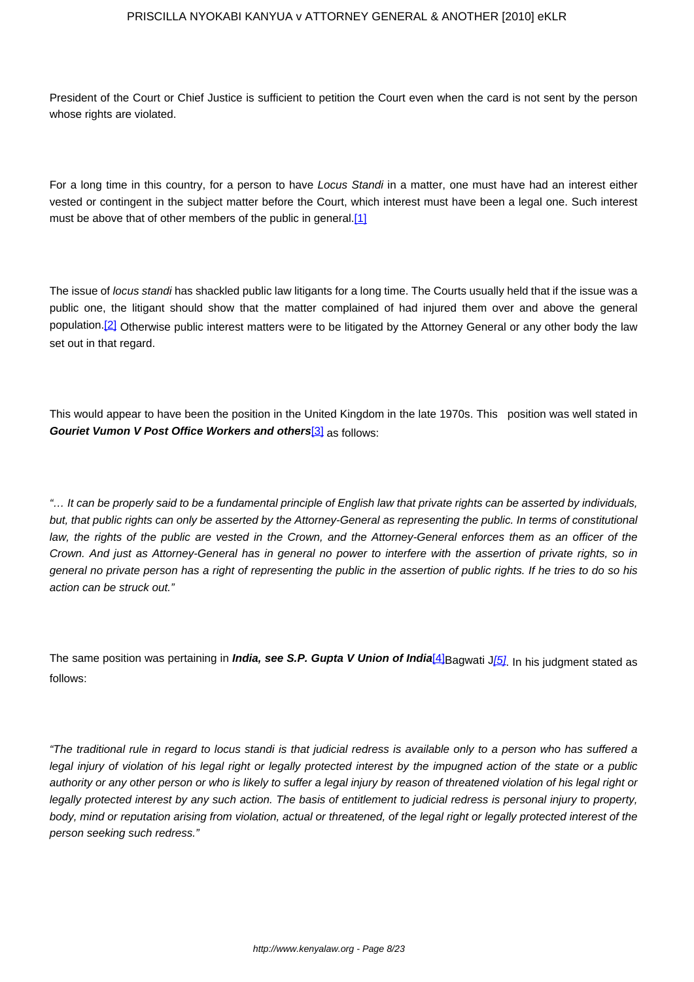President of the Court or Chief Justice is sufficient to petition the Court even when the card is not sent by the person whose rights are violated.

For a long time in this country, for a person to have Locus Standi in a matter, one must have had an interest either vested or contingent in the subject matter before the Court, which interest must have been a legal one. Such interest must be above that of other members of the public in general.[1]

The issue of locus standi has shackled public law litigants for a long time. The Courts usually held that if the issue was a public one, the litigant should show that the matter complained of had injured them over and above the general population.<sup>[2]</sup> Otherwise public interest matters were to be litigated by the Attorney General or any other body the law set out in that regard.

This would appear to have been the position in the United Kingdom in the late 1970s. This position was well stated in **Gouriet Vumon V Post Office Workers and others**[3] as follows:

"… It can be properly said to be a fundamental principle of English law that private rights can be asserted by individuals, but, that public rights can only be asserted by the Attorney-General as representing the public. In terms of constitutional law, the rights of the public are vested in the Crown, and the Attorney-General enforces them as an officer of the Crown. And just as Attorney-General has in general no power to interfere with the assertion of private rights, so in general no private person has a right of representing the public in the assertion of public rights. If he tries to do so his action can be struck out."

The same position was pertaining in *India, see S.P. Gupta V Union of India*<sup>[4]</sup>Bagwati J<sup>[5]</sup>. In his judgment stated as follows:

"The traditional rule in regard to locus standi is that judicial redress is available only to a person who has suffered a legal injury of violation of his legal right or legally protected interest by the impugned action of the state or a public authority or any other person or who is likely to suffer a legal injury by reason of threatened violation of his legal right or legally protected interest by any such action. The basis of entitlement to judicial redress is personal injury to property, body, mind or reputation arising from violation, actual or threatened, of the legal right or legally protected interest of the person seeking such redress."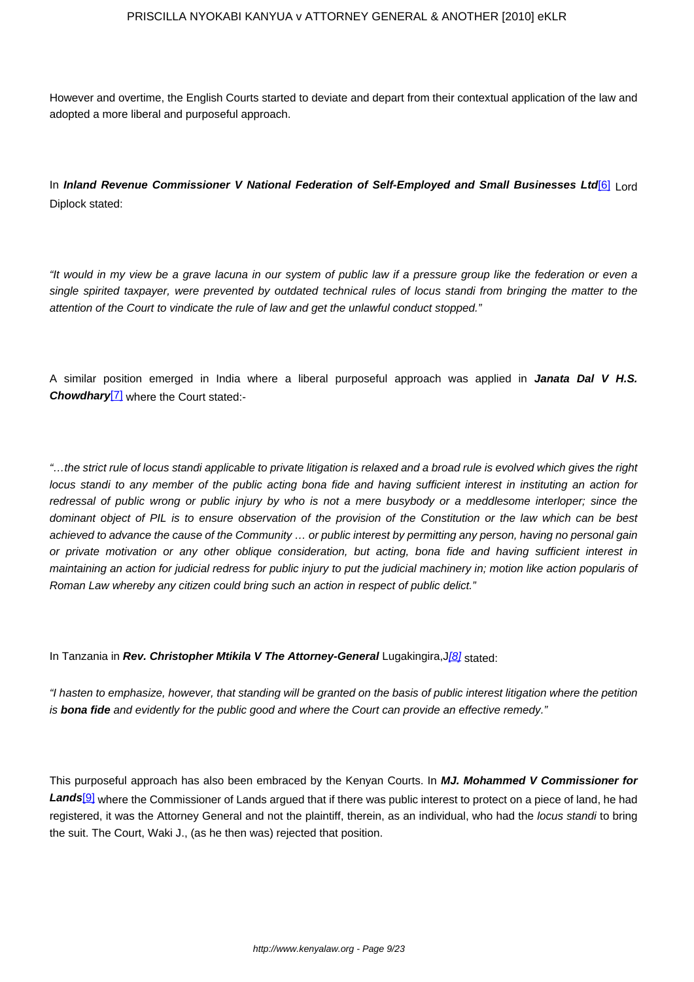However and overtime, the English Courts started to deviate and depart from their contextual application of the law and adopted a more liberal and purposeful approach.

In **Inland Revenue Commissioner V National Federation of Self-Employed and Small Businesses Ltd**[6] Lord Diplock stated:

"It would in my view be a grave lacuna in our system of public law if a pressure group like the federation or even a single spirited taxpayer, were prevented by outdated technical rules of locus standi from bringing the matter to the attention of the Court to vindicate the rule of law and get the unlawful conduct stopped."

A similar position emerged in India where a liberal purposeful approach was applied in **Janata Dal V H.S. Chowdhary**[7] where the Court stated:-

"…the strict rule of locus standi applicable to private litigation is relaxed and a broad rule is evolved which gives the right locus standi to any member of the public acting bona fide and having sufficient interest in instituting an action for redressal of public wrong or public injury by who is not a mere busybody or a meddlesome interloper; since the dominant object of PIL is to ensure observation of the provision of the Constitution or the law which can be best achieved to advance the cause of the Community … or public interest by permitting any person, having no personal gain or private motivation or any other oblique consideration, but acting, bona fide and having sufficient interest in maintaining an action for judicial redress for public injury to put the judicial machinery in; motion like action popularis of Roman Law whereby any citizen could bring such an action in respect of public delict."

In Tanzania in **Rev. Christopher Mtikila V The Attorney-General** Lugakingira,J[8] stated:

"I hasten to emphasize, however, that standing will be granted on the basis of public interest litigation where the petition is **bona fide** and evidently for the public good and where the Court can provide an effective remedy."

This purposeful approach has also been embraced by the Kenyan Courts. In **MJ. Mohammed V Commissioner for** Lands<sup>[9]</sup> where the Commissioner of Lands argued that if there was public interest to protect on a piece of land, he had registered, it was the Attorney General and not the plaintiff, therein, as an individual, who had the locus standi to bring the suit. The Court, Waki J., (as he then was) rejected that position.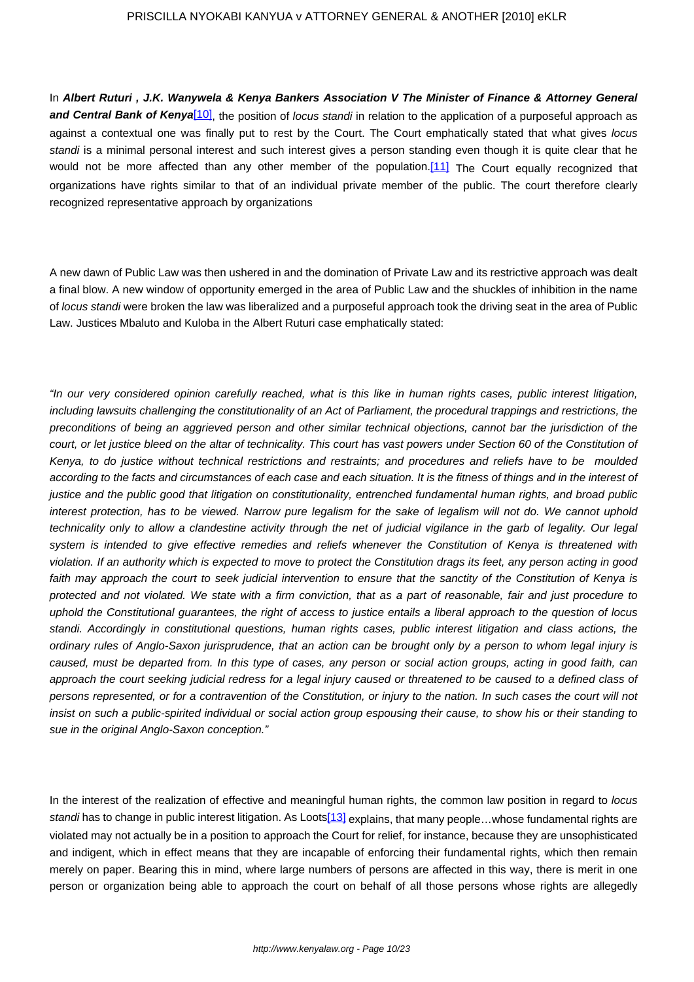In **Albert Ruturi , J.K. Wanywela & Kenya Bankers Association V The Minister of Finance & Attorney General and Central Bank of Kenya[10]**, the position of locus standi in relation to the application of a purposeful approach as against a contextual one was finally put to rest by the Court. The Court emphatically stated that what gives locus standi is a minimal personal interest and such interest gives a person standing even though it is quite clear that he would not be more affected than any other member of the population.[11] The Court equally recognized that organizations have rights similar to that of an individual private member of the public. The court therefore clearly recognized representative approach by organizations

A new dawn of Public Law was then ushered in and the domination of Private Law and its restrictive approach was dealt a final blow. A new window of opportunity emerged in the area of Public Law and the shuckles of inhibition in the name of locus standi were broken the law was liberalized and a purposeful approach took the driving seat in the area of Public Law. Justices Mbaluto and Kuloba in the Albert Ruturi case emphatically stated:

"In our very considered opinion carefully reached, what is this like in human rights cases, public interest litigation, including lawsuits challenging the constitutionality of an Act of Parliament, the procedural trappings and restrictions, the preconditions of being an aggrieved person and other similar technical objections, cannot bar the jurisdiction of the court, or let justice bleed on the altar of technicality. This court has vast powers under Section 60 of the Constitution of Kenya, to do justice without technical restrictions and restraints; and procedures and reliefs have to be moulded according to the facts and circumstances of each case and each situation. It is the fitness of things and in the interest of justice and the public good that litigation on constitutionality, entrenched fundamental human rights, and broad public interest protection, has to be viewed. Narrow pure legalism for the sake of legalism will not do. We cannot uphold technicality only to allow a clandestine activity through the net of judicial vigilance in the garb of legality. Our legal system is intended to give effective remedies and reliefs whenever the Constitution of Kenya is threatened with violation. If an authority which is expected to move to protect the Constitution drags its feet, any person acting in good faith may approach the court to seek judicial intervention to ensure that the sanctity of the Constitution of Kenya is protected and not violated. We state with a firm conviction, that as a part of reasonable, fair and just procedure to uphold the Constitutional guarantees, the right of access to justice entails a liberal approach to the question of locus standi. Accordingly in constitutional questions, human rights cases, public interest litigation and class actions, the ordinary rules of Anglo-Saxon jurisprudence, that an action can be brought only by a person to whom legal injury is caused, must be departed from. In this type of cases, any person or social action groups, acting in good faith, can approach the court seeking judicial redress for a legal injury caused or threatened to be caused to a defined class of persons represented, or for a contravention of the Constitution, or injury to the nation. In such cases the court will not insist on such a public-spirited individual or social action group espousing their cause, to show his or their standing to sue in the original Anglo-Saxon conception."

In the interest of the realization of effective and meaningful human rights, the common law position in regard to locus standi has to change in public interest litigation. As Loots<sup>[13]</sup> explains, that many people...whose fundamental rights are violated may not actually be in a position to approach the Court for relief, for instance, because they are unsophisticated and indigent, which in effect means that they are incapable of enforcing their fundamental rights, which then remain merely on paper. Bearing this in mind, where large numbers of persons are affected in this way, there is merit in one person or organization being able to approach the court on behalf of all those persons whose rights are allegedly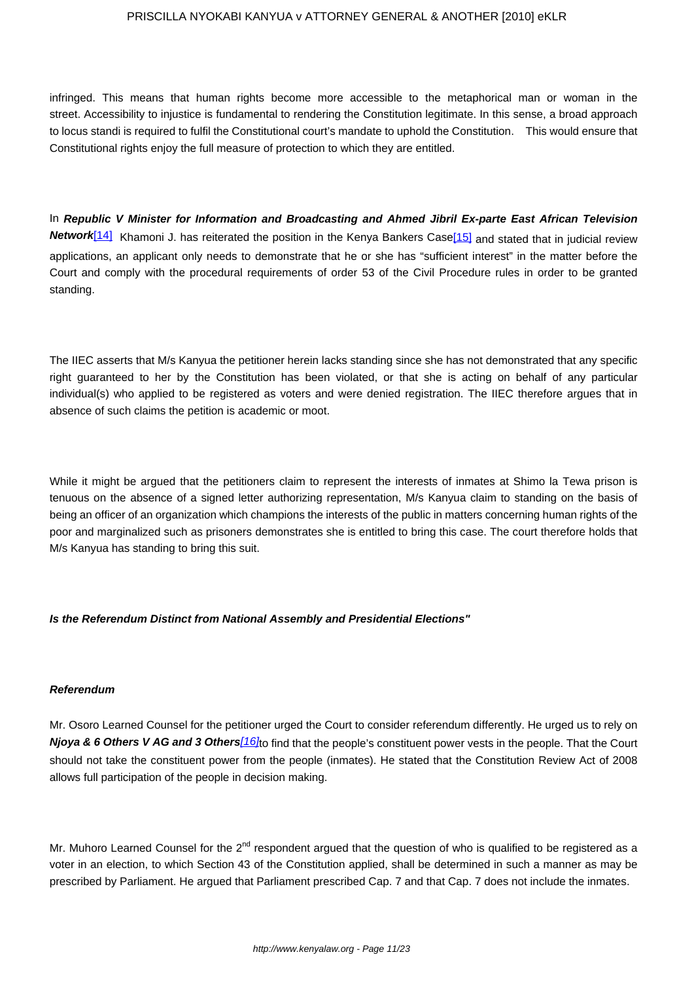infringed. This means that human rights become more accessible to the metaphorical man or woman in the street. Accessibility to injustice is fundamental to rendering the Constitution legitimate. In this sense, a broad approach to locus standi is required to fulfil the Constitutional court's mandate to uphold the Constitution. This would ensure that Constitutional rights enjoy the full measure of protection to which they are entitled.

In **Republic V Minister for Information and Broadcasting and Ahmed Jibril Ex-parte East African Television Network**[14] Khamoni J. has reiterated the position in the Kenya Bankers Case[15] and stated that in judicial review applications, an applicant only needs to demonstrate that he or she has "sufficient interest" in the matter before the Court and comply with the procedural requirements of order 53 of the Civil Procedure rules in order to be granted standing.

The IIEC asserts that M/s Kanyua the petitioner herein lacks standing since she has not demonstrated that any specific right guaranteed to her by the Constitution has been violated, or that she is acting on behalf of any particular individual(s) who applied to be registered as voters and were denied registration. The IIEC therefore argues that in absence of such claims the petition is academic or moot.

While it might be argued that the petitioners claim to represent the interests of inmates at Shimo la Tewa prison is tenuous on the absence of a signed letter authorizing representation, M/s Kanyua claim to standing on the basis of being an officer of an organization which champions the interests of the public in matters concerning human rights of the poor and marginalized such as prisoners demonstrates she is entitled to bring this case. The court therefore holds that M/s Kanyua has standing to bring this suit.

## **Is the Referendum Distinct from National Assembly and Presidential Elections"**

#### **Referendum**

Mr. Osoro Learned Counsel for the petitioner urged the Court to consider referendum differently. He urged us to rely on **Njoya & 6 Others V AG and 3 Others**[16]to find that the people's constituent power vests in the people. That the Court should not take the constituent power from the people (inmates). He stated that the Constitution Review Act of 2008 allows full participation of the people in decision making.

Mr. Muhoro Learned Counsel for the  $2^{nd}$  respondent argued that the question of who is qualified to be registered as a voter in an election, to which Section 43 of the Constitution applied, shall be determined in such a manner as may be prescribed by Parliament. He argued that Parliament prescribed Cap. 7 and that Cap. 7 does not include the inmates.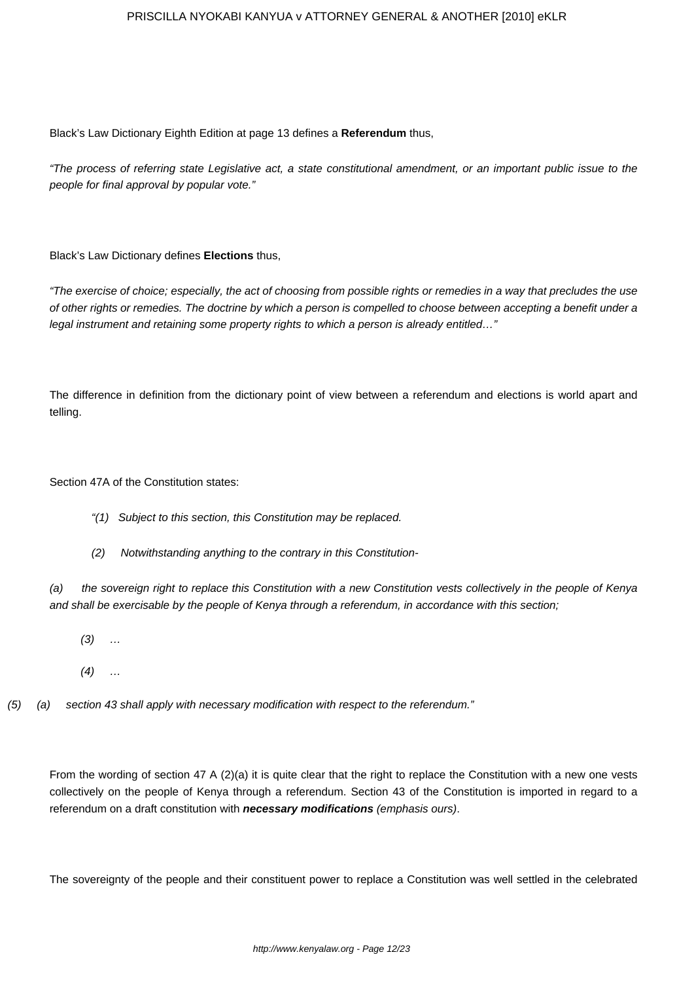Black's Law Dictionary Eighth Edition at page 13 defines a **Referendum** thus,

"The process of referring state Legislative act, a state constitutional amendment, or an important public issue to the people for final approval by popular vote."

Black's Law Dictionary defines **Elections** thus,

"The exercise of choice; especially, the act of choosing from possible rights or remedies in a way that precludes the use of other rights or remedies. The doctrine by which a person is compelled to choose between accepting a benefit under a legal instrument and retaining some property rights to which a person is already entitled…"

The difference in definition from the dictionary point of view between a referendum and elections is world apart and telling.

Section 47A of the Constitution states:

- "(1) Subject to this section, this Constitution may be replaced.
- (2) Notwithstanding anything to the contrary in this Constitution-

(a) the sovereign right to replace this Constitution with a new Constitution vests collectively in the people of Kenya and shall be exercisable by the people of Kenya through a referendum, in accordance with this section;

- $(3)$  ...
- $(4)$  ...
- (5) (a) section 43 shall apply with necessary modification with respect to the referendum."

From the wording of section 47 A (2)(a) it is quite clear that the right to replace the Constitution with a new one vests collectively on the people of Kenya through a referendum. Section 43 of the Constitution is imported in regard to a referendum on a draft constitution with **necessary modifications** (emphasis ours).

The sovereignty of the people and their constituent power to replace a Constitution was well settled in the celebrated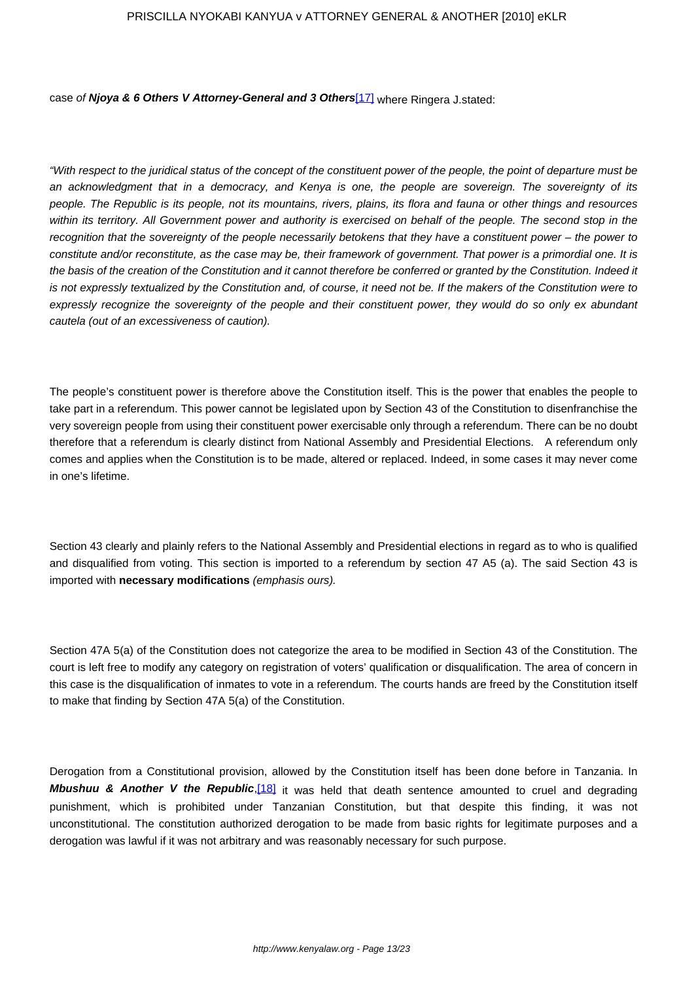case of **Njoya & 6 Others V Attorney-General and 3 Others**[17] where Ringera J.stated:

"With respect to the juridical status of the concept of the constituent power of the people, the point of departure must be an acknowledgment that in a democracy, and Kenya is one, the people are sovereign. The sovereignty of its people. The Republic is its people, not its mountains, rivers, plains, its flora and fauna or other things and resources within its territory. All Government power and authority is exercised on behalf of the people. The second stop in the recognition that the sovereignty of the people necessarily betokens that they have a constituent power – the power to constitute and/or reconstitute, as the case may be, their framework of government. That power is a primordial one. It is the basis of the creation of the Constitution and it cannot therefore be conferred or granted by the Constitution. Indeed it is not expressly textualized by the Constitution and, of course, it need not be. If the makers of the Constitution were to expressly recognize the sovereignty of the people and their constituent power, they would do so only ex abundant cautela (out of an excessiveness of caution).

The people's constituent power is therefore above the Constitution itself. This is the power that enables the people to take part in a referendum. This power cannot be legislated upon by Section 43 of the Constitution to disenfranchise the very sovereign people from using their constituent power exercisable only through a referendum. There can be no doubt therefore that a referendum is clearly distinct from National Assembly and Presidential Elections. A referendum only comes and applies when the Constitution is to be made, altered or replaced. Indeed, in some cases it may never come in one's lifetime.

Section 43 clearly and plainly refers to the National Assembly and Presidential elections in regard as to who is qualified and disqualified from voting. This section is imported to a referendum by section 47 A5 (a). The said Section 43 is imported with **necessary modifications** (emphasis ours).

Section 47A 5(a) of the Constitution does not categorize the area to be modified in Section 43 of the Constitution. The court is left free to modify any category on registration of voters' qualification or disqualification. The area of concern in this case is the disqualification of inmates to vote in a referendum. The courts hands are freed by the Constitution itself to make that finding by Section 47A 5(a) of the Constitution.

Derogation from a Constitutional provision, allowed by the Constitution itself has been done before in Tanzania. In **Mbushuu & Another V the Republic, [18]** it was held that death sentence amounted to cruel and degrading punishment, which is prohibited under Tanzanian Constitution, but that despite this finding, it was not unconstitutional. The constitution authorized derogation to be made from basic rights for legitimate purposes and a derogation was lawful if it was not arbitrary and was reasonably necessary for such purpose.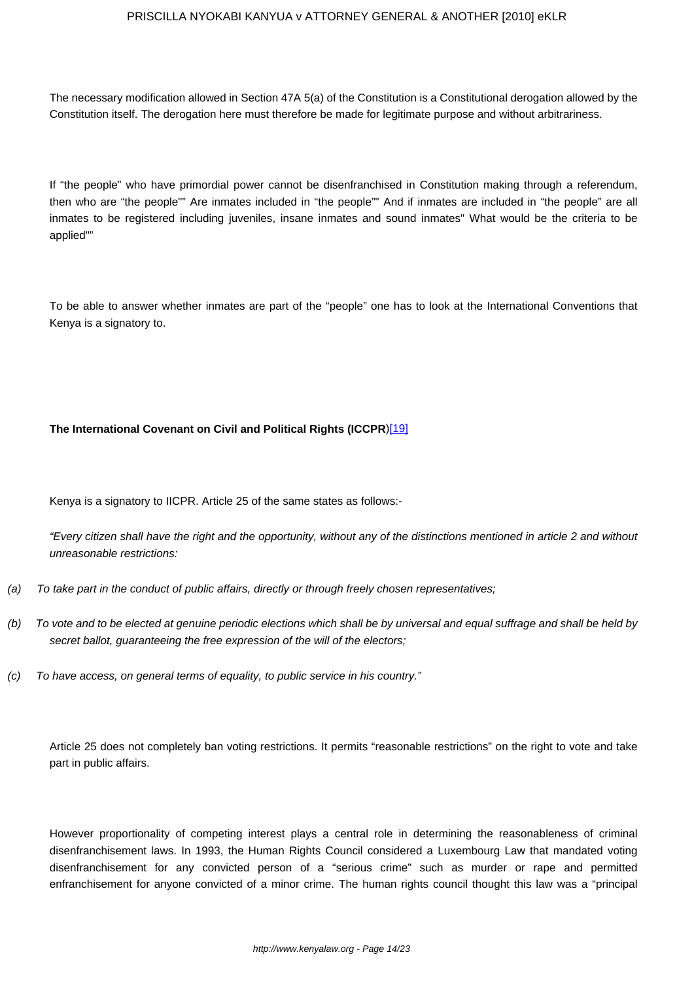The necessary modification allowed in Section 47A 5(a) of the Constitution is a Constitutional derogation allowed by the Constitution itself. The derogation here must therefore be made for legitimate purpose and without arbitrariness.

If "the people" who have primordial power cannot be disenfranchised in Constitution making through a referendum, then who are "the people"" Are inmates included in "the people"" And if inmates are included in "the people" are all inmates to be registered including juveniles, insane inmates and sound inmates" What would be the criteria to be applied""

To be able to answer whether inmates are part of the "people" one has to look at the International Conventions that Kenya is a signatory to.

## **The International Covenant on Civil and Political Rights (ICCPR**)[19]

Kenya is a signatory to IICPR. Article 25 of the same states as follows:-

"Every citizen shall have the right and the opportunity, without any of the distinctions mentioned in article 2 and without unreasonable restrictions:

- (a) To take part in the conduct of public affairs, directly or through freely chosen representatives;
- (b) To vote and to be elected at genuine periodic elections which shall be by universal and equal suffrage and shall be held by secret ballot, guaranteeing the free expression of the will of the electors;
- (c) To have access, on general terms of equality, to public service in his country."

Article 25 does not completely ban voting restrictions. It permits "reasonable restrictions" on the right to vote and take part in public affairs.

However proportionality of competing interest plays a central role in determining the reasonableness of criminal disenfranchisement laws. In 1993, the Human Rights Council considered a Luxembourg Law that mandated voting disenfranchisement for any convicted person of a "serious crime" such as murder or rape and permitted enfranchisement for anyone convicted of a minor crime. The human rights council thought this law was a "principal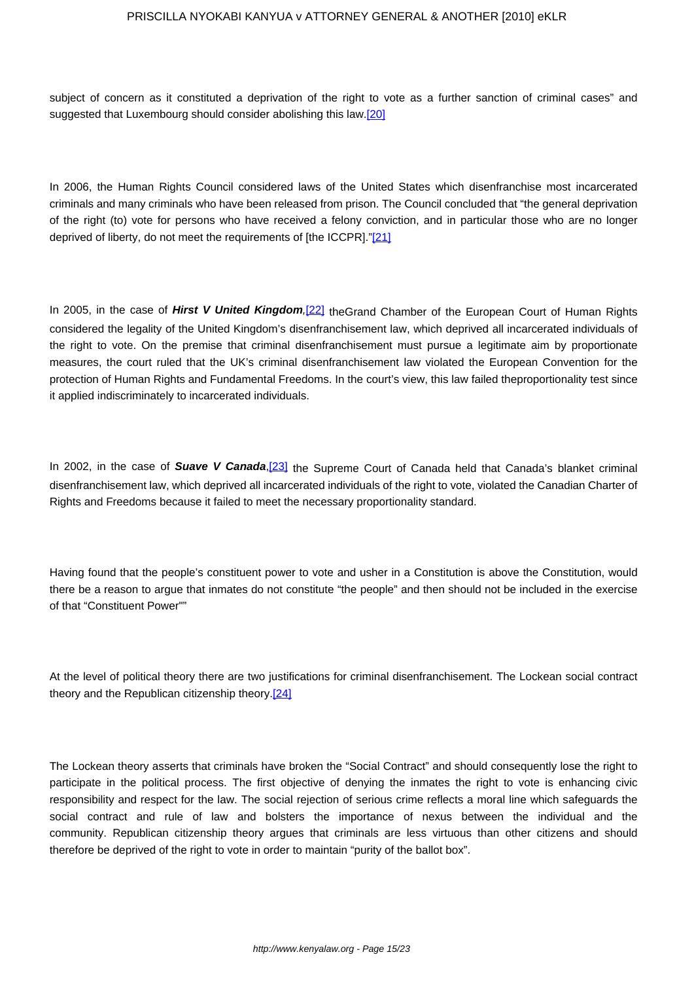subject of concern as it constituted a deprivation of the right to vote as a further sanction of criminal cases" and suggested that Luxembourg should consider abolishing this law.<sup>[20]</sup>

In 2006, the Human Rights Council considered laws of the United States which disenfranchise most incarcerated criminals and many criminals who have been released from prison. The Council concluded that "the general deprivation of the right (to) vote for persons who have received a felony conviction, and in particular those who are no longer deprived of liberty, do not meet the requirements of [the ICCPR]."[21]

In 2005, in the case of Hirst V United Kingdom,<sup>[22]</sup> theGrand Chamber of the European Court of Human Rights considered the legality of the United Kingdom's disenfranchisement law, which deprived all incarcerated individuals of the right to vote. On the premise that criminal disenfranchisement must pursue a legitimate aim by proportionate measures, the court ruled that the UK's criminal disenfranchisement law violated the European Convention for the protection of Human Rights and Fundamental Freedoms. In the court's view, this law failed theproportionality test since it applied indiscriminately to incarcerated individuals.

In 2002, in the case of Suave V Canada,<sup>[23]</sup> the Supreme Court of Canada held that Canada's blanket criminal disenfranchisement law, which deprived all incarcerated individuals of the right to vote, violated the Canadian Charter of Rights and Freedoms because it failed to meet the necessary proportionality standard.

Having found that the people's constituent power to vote and usher in a Constitution is above the Constitution, would there be a reason to argue that inmates do not constitute "the people" and then should not be included in the exercise of that "Constituent Power""

At the level of political theory there are two justifications for criminal disenfranchisement. The Lockean social contract theory and the Republican citizenship theory.<sup>[24]</sup>

The Lockean theory asserts that criminals have broken the "Social Contract" and should consequently lose the right to participate in the political process. The first objective of denying the inmates the right to vote is enhancing civic responsibility and respect for the law. The social rejection of serious crime reflects a moral line which safeguards the social contract and rule of law and bolsters the importance of nexus between the individual and the community. Republican citizenship theory argues that criminals are less virtuous than other citizens and should therefore be deprived of the right to vote in order to maintain "purity of the ballot box".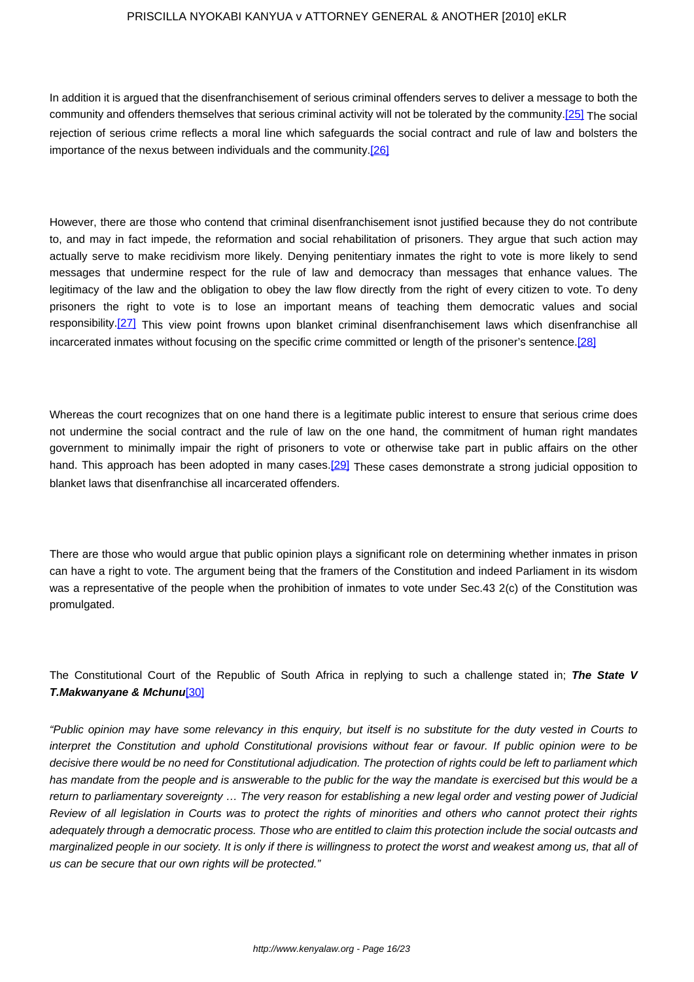In addition it is argued that the disenfranchisement of serious criminal offenders serves to deliver a message to both the community and offenders themselves that serious criminal activity will not be tolerated by the community.[25] The social rejection of serious crime reflects a moral line which safeguards the social contract and rule of law and bolsters the importance of the nexus between individuals and the community.[26]

However, there are those who contend that criminal disenfranchisement isnot justified because they do not contribute to, and may in fact impede, the reformation and social rehabilitation of prisoners. They argue that such action may actually serve to make recidivism more likely. Denying penitentiary inmates the right to vote is more likely to send messages that undermine respect for the rule of law and democracy than messages that enhance values. The legitimacy of the law and the obligation to obey the law flow directly from the right of every citizen to vote. To deny prisoners the right to vote is to lose an important means of teaching them democratic values and social responsibility.<sup>[27]</sup> This view point frowns upon blanket criminal disenfranchisement laws which disenfranchise all incarcerated inmates without focusing on the specific crime committed or length of the prisoner's sentence.[28]

Whereas the court recognizes that on one hand there is a legitimate public interest to ensure that serious crime does not undermine the social contract and the rule of law on the one hand, the commitment of human right mandates government to minimally impair the right of prisoners to vote or otherwise take part in public affairs on the other hand. This approach has been adopted in many cases.[29] These cases demonstrate a strong judicial opposition to blanket laws that disenfranchise all incarcerated offenders.

There are those who would argue that public opinion plays a significant role on determining whether inmates in prison can have a right to vote. The argument being that the framers of the Constitution and indeed Parliament in its wisdom was a representative of the people when the prohibition of inmates to vote under Sec.43 2(c) of the Constitution was promulgated.

The Constitutional Court of the Republic of South Africa in replying to such a challenge stated in; **The State V T.Makwanyane & Mchunu**[30]

"Public opinion may have some relevancy in this enquiry, but itself is no substitute for the duty vested in Courts to interpret the Constitution and uphold Constitutional provisions without fear or favour. If public opinion were to be decisive there would be no need for Constitutional adjudication. The protection of rights could be left to parliament which has mandate from the people and is answerable to the public for the way the mandate is exercised but this would be a return to parliamentary sovereignty … The very reason for establishing a new legal order and vesting power of Judicial Review of all legislation in Courts was to protect the rights of minorities and others who cannot protect their rights adequately through a democratic process. Those who are entitled to claim this protection include the social outcasts and marginalized people in our society. It is only if there is willingness to protect the worst and weakest among us, that all of us can be secure that our own rights will be protected."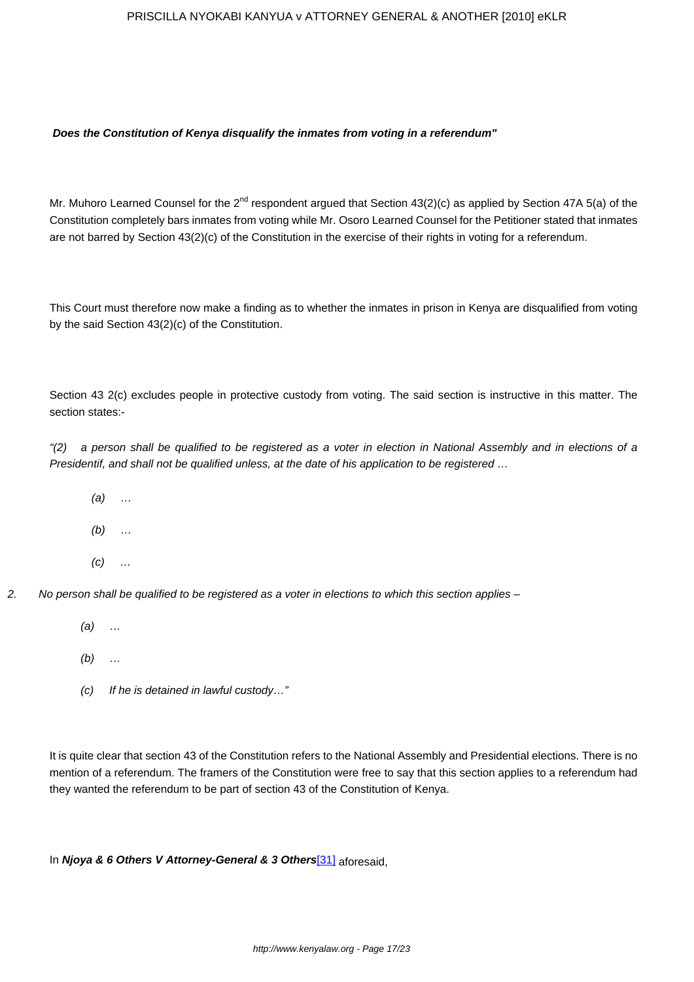## **Does the Constitution of Kenya disqualify the inmates from voting in a referendum"**

Mr. Muhoro Learned Counsel for the 2<sup>nd</sup> respondent argued that Section 43(2)(c) as applied by Section 47A 5(a) of the Constitution completely bars inmates from voting while Mr. Osoro Learned Counsel for the Petitioner stated that inmates are not barred by Section 43(2)(c) of the Constitution in the exercise of their rights in voting for a referendum.

This Court must therefore now make a finding as to whether the inmates in prison in Kenya are disqualified from voting by the said Section 43(2)(c) of the Constitution.

Section 43 2(c) excludes people in protective custody from voting. The said section is instructive in this matter. The section states:-

"(2) a person shall be qualified to be registered as a voter in election in National Assembly and in elections of a Presidentif, and shall not be qualified unless, at the date of his application to be registered …

- $(a)$  ...
- $(b)$  ...
- $(C)$  ...
- 2. No person shall be qualified to be registered as a voter in elections to which this section applies
	- (a) …
	- $(b)$  ...
	- (c) If he is detained in lawful custody…"

It is quite clear that section 43 of the Constitution refers to the National Assembly and Presidential elections. There is no mention of a referendum. The framers of the Constitution were free to say that this section applies to a referendum had they wanted the referendum to be part of section 43 of the Constitution of Kenya.

In **Njoya & 6 Others V Attorney-General & 3 Others**[31] aforesaid,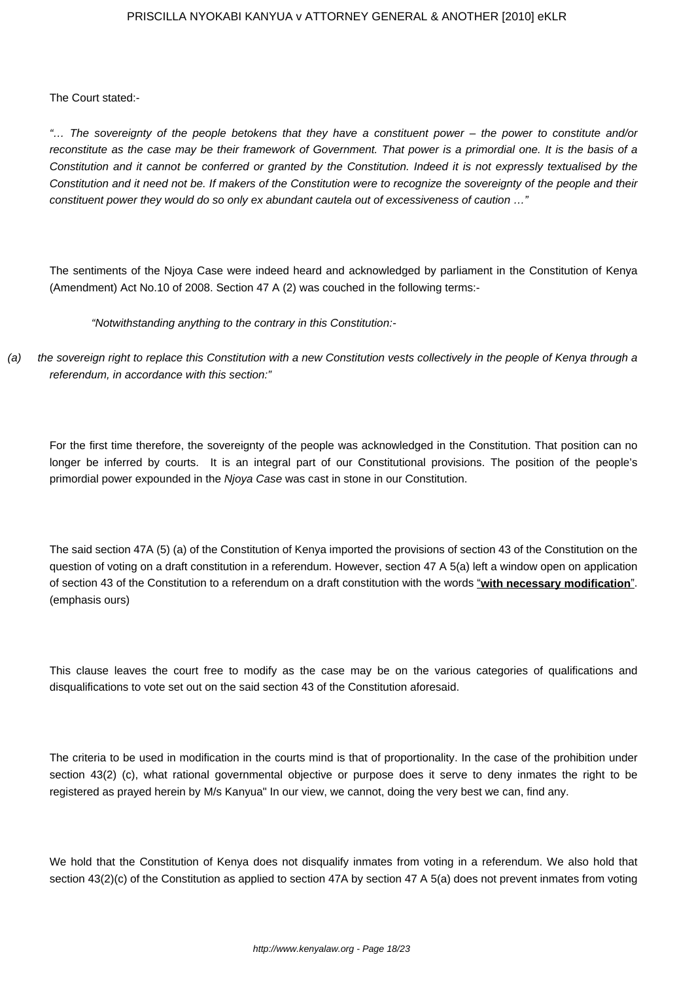The Court stated:-

"… The sovereignty of the people betokens that they have a constituent power – the power to constitute and/or reconstitute as the case may be their framework of Government. That power is a primordial one. It is the basis of a Constitution and it cannot be conferred or granted by the Constitution. Indeed it is not expressly textualised by the Constitution and it need not be. If makers of the Constitution were to recognize the sovereignty of the people and their constituent power they would do so only ex abundant cautela out of excessiveness of caution ..."

The sentiments of the Njoya Case were indeed heard and acknowledged by parliament in the Constitution of Kenya (Amendment) Act No.10 of 2008. Section 47 A (2) was couched in the following terms:-

"Notwithstanding anything to the contrary in this Constitution:-

(a) the sovereign right to replace this Constitution with a new Constitution vests collectively in the people of Kenya through a referendum, in accordance with this section:"

For the first time therefore, the sovereignty of the people was acknowledged in the Constitution. That position can no longer be inferred by courts. It is an integral part of our Constitutional provisions. The position of the people's primordial power expounded in the Njoya Case was cast in stone in our Constitution.

The said section 47A (5) (a) of the Constitution of Kenya imported the provisions of section 43 of the Constitution on the question of voting on a draft constitution in a referendum. However, section 47 A 5(a) left a window open on application of section 43 of the Constitution to a referendum on a draft constitution with the words "**with necessary modification**". (emphasis ours)

This clause leaves the court free to modify as the case may be on the various categories of qualifications and disqualifications to vote set out on the said section 43 of the Constitution aforesaid.

The criteria to be used in modification in the courts mind is that of proportionality. In the case of the prohibition under section 43(2) (c), what rational governmental objective or purpose does it serve to deny inmates the right to be registered as prayed herein by M/s Kanyua" In our view, we cannot, doing the very best we can, find any.

We hold that the Constitution of Kenya does not disqualify inmates from voting in a referendum. We also hold that section 43(2)(c) of the Constitution as applied to section 47A by section 47A 5(a) does not prevent inmates from voting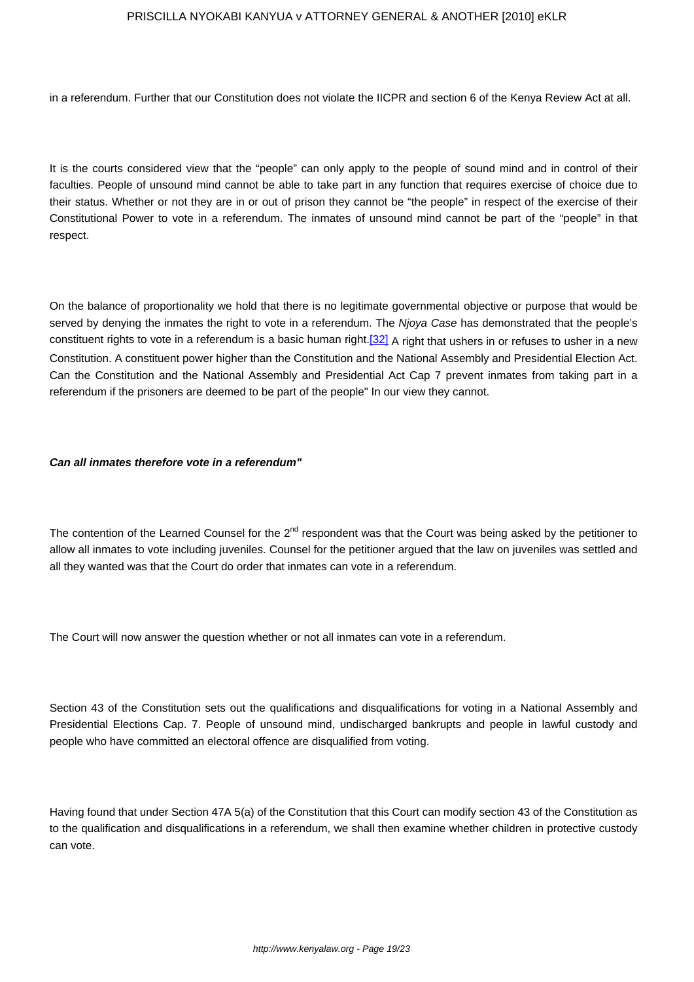in a referendum. Further that our Constitution does not violate the IICPR and section 6 of the Kenya Review Act at all.

It is the courts considered view that the "people" can only apply to the people of sound mind and in control of their faculties. People of unsound mind cannot be able to take part in any function that requires exercise of choice due to their status. Whether or not they are in or out of prison they cannot be "the people" in respect of the exercise of their Constitutional Power to vote in a referendum. The inmates of unsound mind cannot be part of the "people" in that respect.

On the balance of proportionality we hold that there is no legitimate governmental objective or purpose that would be served by denying the inmates the right to vote in a referendum. The Njoya Case has demonstrated that the people's constituent rights to vote in a referendum is a basic human right.[32] A right that ushers in or refuses to usher in a new Constitution. A constituent power higher than the Constitution and the National Assembly and Presidential Election Act. Can the Constitution and the National Assembly and Presidential Act Cap 7 prevent inmates from taking part in a referendum if the prisoners are deemed to be part of the people" In our view they cannot.

## **Can all inmates therefore vote in a referendum"**

The contention of the Learned Counsel for the  $2^{nd}$  respondent was that the Court was being asked by the petitioner to allow all inmates to vote including juveniles. Counsel for the petitioner argued that the law on juveniles was settled and all they wanted was that the Court do order that inmates can vote in a referendum.

The Court will now answer the question whether or not all inmates can vote in a referendum.

Section 43 of the Constitution sets out the qualifications and disqualifications for voting in a National Assembly and Presidential Elections Cap. 7. People of unsound mind, undischarged bankrupts and people in lawful custody and people who have committed an electoral offence are disqualified from voting.

Having found that under Section 47A 5(a) of the Constitution that this Court can modify section 43 of the Constitution as to the qualification and disqualifications in a referendum, we shall then examine whether children in protective custody can vote.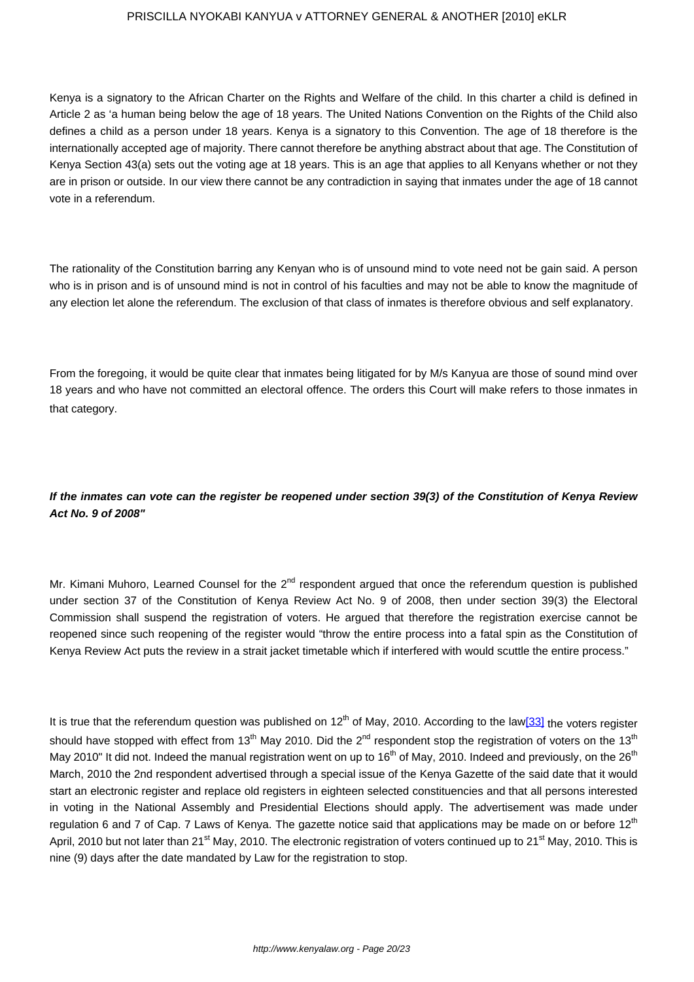Kenya is a signatory to the African Charter on the Rights and Welfare of the child. In this charter a child is defined in Article 2 as 'a human being below the age of 18 years. The United Nations Convention on the Rights of the Child also defines a child as a person under 18 years. Kenya is a signatory to this Convention. The age of 18 therefore is the internationally accepted age of majority. There cannot therefore be anything abstract about that age. The Constitution of Kenya Section 43(a) sets out the voting age at 18 years. This is an age that applies to all Kenyans whether or not they are in prison or outside. In our view there cannot be any contradiction in saying that inmates under the age of 18 cannot vote in a referendum.

The rationality of the Constitution barring any Kenyan who is of unsound mind to vote need not be gain said. A person who is in prison and is of unsound mind is not in control of his faculties and may not be able to know the magnitude of any election let alone the referendum. The exclusion of that class of inmates is therefore obvious and self explanatory.

From the foregoing, it would be quite clear that inmates being litigated for by M/s Kanyua are those of sound mind over 18 years and who have not committed an electoral offence. The orders this Court will make refers to those inmates in that category.

# **If the inmates can vote can the register be reopened under section 39(3) of the Constitution of Kenya Review Act No. 9 of 2008"**

Mr. Kimani Muhoro, Learned Counsel for the  $2^{nd}$  respondent argued that once the referendum question is published under section 37 of the Constitution of Kenya Review Act No. 9 of 2008, then under section 39(3) the Electoral Commission shall suspend the registration of voters. He argued that therefore the registration exercise cannot be reopened since such reopening of the register would "throw the entire process into a fatal spin as the Constitution of Kenya Review Act puts the review in a strait jacket timetable which if interfered with would scuttle the entire process."

It is true that the referendum question was published on  $12<sup>th</sup>$  of May, 2010. According to the law[33] the voters register should have stopped with effect from 13<sup>th</sup> May 2010. Did the 2<sup>nd</sup> respondent stop the registration of voters on the 13<sup>th</sup> May 2010" It did not. Indeed the manual registration went on up to 16<sup>th</sup> of May, 2010. Indeed and previously, on the 26<sup>th</sup> March, 2010 the 2nd respondent advertised through a special issue of the Kenya Gazette of the said date that it would start an electronic register and replace old registers in eighteen selected constituencies and that all persons interested in voting in the National Assembly and Presidential Elections should apply. The advertisement was made under regulation 6 and 7 of Cap. 7 Laws of Kenya. The gazette notice said that applications may be made on or before 12<sup>th</sup> April, 2010 but not later than 21<sup>st</sup> May, 2010. The electronic registration of voters continued up to 21<sup>st</sup> May, 2010. This is nine (9) days after the date mandated by Law for the registration to stop.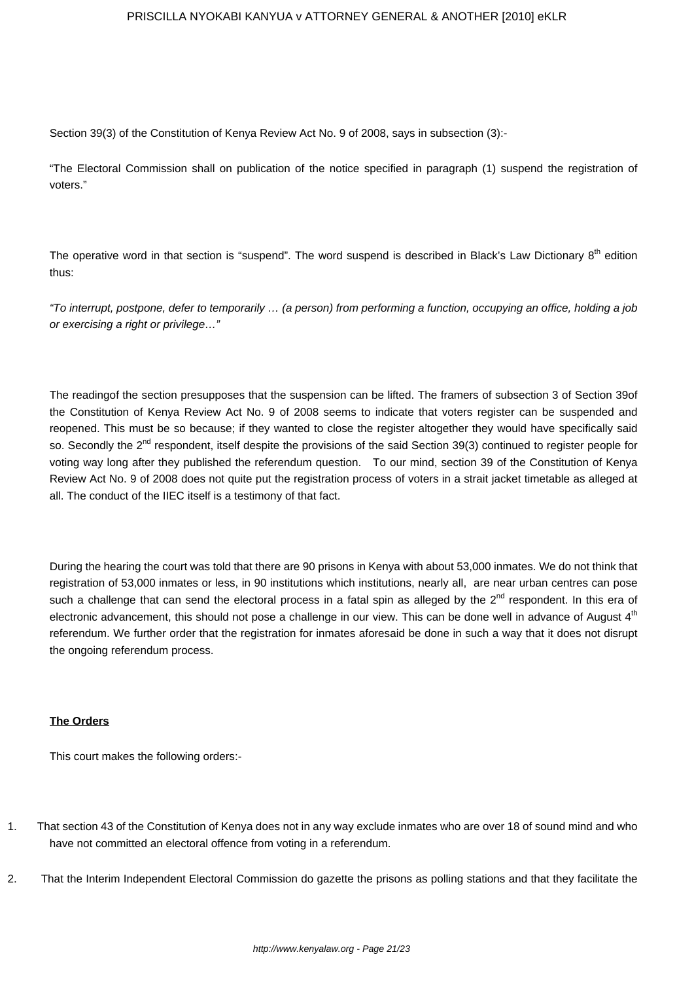Section 39(3) of the Constitution of Kenya Review Act No. 9 of 2008, says in subsection (3):-

"The Electoral Commission shall on publication of the notice specified in paragraph (1) suspend the registration of voters."

The operative word in that section is "suspend". The word suspend is described in Black's Law Dictionary 8<sup>th</sup> edition thus:

"To interrupt, postpone, defer to temporarily … (a person) from performing a function, occupying an office, holding a job or exercising a right or privilege…"

The readingof the section presupposes that the suspension can be lifted. The framers of subsection 3 of Section 39of the Constitution of Kenya Review Act No. 9 of 2008 seems to indicate that voters register can be suspended and reopened. This must be so because; if they wanted to close the register altogether they would have specifically said so. Secondly the 2<sup>nd</sup> respondent, itself despite the provisions of the said Section 39(3) continued to register people for voting way long after they published the referendum question. To our mind, section 39 of the Constitution of Kenya Review Act No. 9 of 2008 does not quite put the registration process of voters in a strait jacket timetable as alleged at all. The conduct of the IIEC itself is a testimony of that fact.

During the hearing the court was told that there are 90 prisons in Kenya with about 53,000 inmates. We do not think that registration of 53,000 inmates or less, in 90 institutions which institutions, nearly all, are near urban centres can pose such a challenge that can send the electoral process in a fatal spin as alleged by the 2<sup>nd</sup> respondent. In this era of electronic advancement, this should not pose a challenge in our view. This can be done well in advance of August 4<sup>th</sup> referendum. We further order that the registration for inmates aforesaid be done in such a way that it does not disrupt the ongoing referendum process.

## **The Orders**

This court makes the following orders:-

- 1. That section 43 of the Constitution of Kenya does not in any way exclude inmates who are over 18 of sound mind and who have not committed an electoral offence from voting in a referendum.
- 2. That the Interim Independent Electoral Commission do gazette the prisons as polling stations and that they facilitate the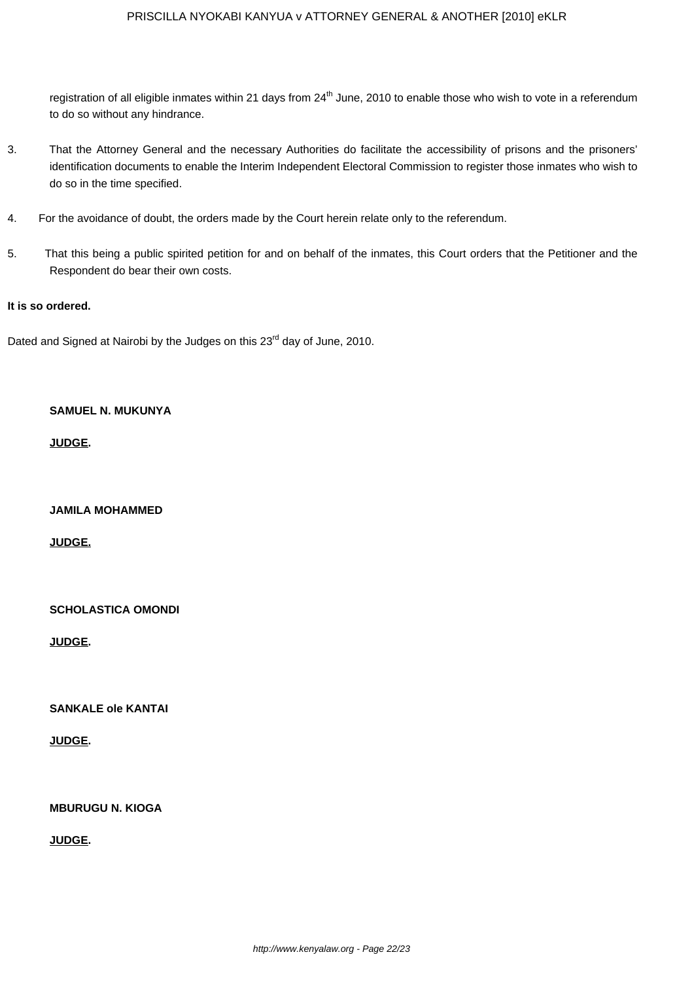registration of all eligible inmates within 21 days from 24<sup>th</sup> June, 2010 to enable those who wish to vote in a referendum to do so without any hindrance.

- 3. That the Attorney General and the necessary Authorities do facilitate the accessibility of prisons and the prisoners' identification documents to enable the Interim Independent Electoral Commission to register those inmates who wish to do so in the time specified.
- 4. For the avoidance of doubt, the orders made by the Court herein relate only to the referendum.
- 5. That this being a public spirited petition for and on behalf of the inmates, this Court orders that the Petitioner and the Respondent do bear their own costs.

#### **It is so ordered.**

Dated and Signed at Nairobi by the Judges on this 23<sup>rd</sup> day of June, 2010.

## **SAMUEL N. MUKUNYA**

**JUDGE.**

**JAMILA MOHAMMED**

**JUDGE.**

**SCHOLASTICA OMONDI**

**JUDGE.**

**SANKALE ole KANTAI**

**JUDGE.**

**MBURUGU N. KIOGA**

**JUDGE.**